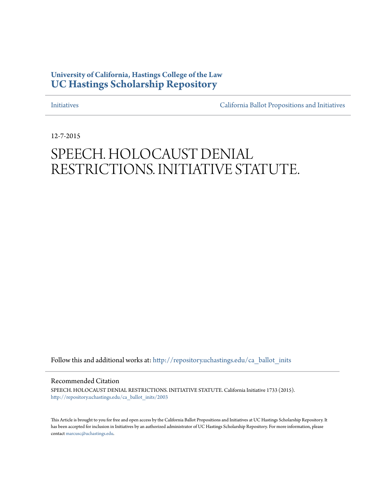# **University of California, Hastings College of the Law [UC Hastings Scholarship Repository](http://repository.uchastings.edu?utm_source=repository.uchastings.edu%2Fca_ballot_inits%2F2003&utm_medium=PDF&utm_campaign=PDFCoverPages)**

[Initiatives](http://repository.uchastings.edu/ca_ballot_inits?utm_source=repository.uchastings.edu%2Fca_ballot_inits%2F2003&utm_medium=PDF&utm_campaign=PDFCoverPages) [California Ballot Propositions and Initiatives](http://repository.uchastings.edu/ca_ballots?utm_source=repository.uchastings.edu%2Fca_ballot_inits%2F2003&utm_medium=PDF&utm_campaign=PDFCoverPages)

12-7-2015

# SPEECH. HOLOCAUST DENIAL RESTRICTIONS. INITIATIVE STATUTE.

Follow this and additional works at: [http://repository.uchastings.edu/ca\\_ballot\\_inits](http://repository.uchastings.edu/ca_ballot_inits?utm_source=repository.uchastings.edu%2Fca_ballot_inits%2F2003&utm_medium=PDF&utm_campaign=PDFCoverPages)

Recommended Citation

SPEECH. HOLOCAUST DENIAL RESTRICTIONS. INITIATIVE STATUTE. California Initiative 1733 (2015). [http://repository.uchastings.edu/ca\\_ballot\\_inits/2003](http://repository.uchastings.edu/ca_ballot_inits/2003?utm_source=repository.uchastings.edu%2Fca_ballot_inits%2F2003&utm_medium=PDF&utm_campaign=PDFCoverPages)

This Article is brought to you for free and open access by the California Ballot Propositions and Initiatives at UC Hastings Scholarship Repository. It has been accepted for inclusion in Initiatives by an authorized administrator of UC Hastings Scholarship Repository. For more information, please contact [marcusc@uchastings.edu](mailto:marcusc@uchastings.edu).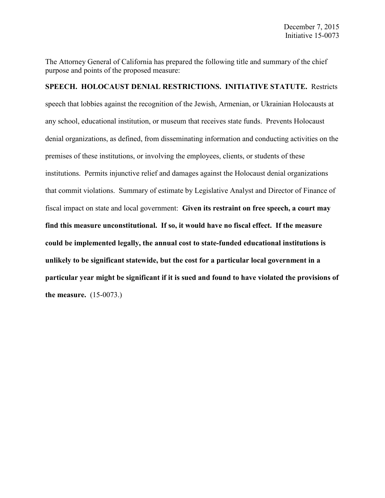The Attorney General of California has prepared the following title and summary of the chief purpose and points of the proposed measure:

# **SPEECH. HOLOCAUST DENIAL RESTRICTIONS. INITIATIVE STATUTE.** Restricts speech that lobbies against the recognition of the Jewish, Armenian, or Ukrainian Holocausts at any school, educational institution, or museum that receives state funds. Prevents Holocaust denial organizations, as defined, from disseminating information and conducting activities on the premises of these institutions, or involving the employees, clients, or students of these institutions. Permits injunctive relief and damages against the Holocaust denial organizations that commit violations. Summary of estimate by Legislative Analyst and Director of Finance of fiscal impact on state and local government: **Given its restraint on free speech, a court may find this measure unconstitutional. If so, it would have no fiscal effect. If the measure could be implemented legally, the annual cost to state-funded educational institutions is unlikely to be significant statewide, but the cost for a particular local government in a particular year might be significant if it is sued and found to have violated the provisions of the measure.** (15-0073.)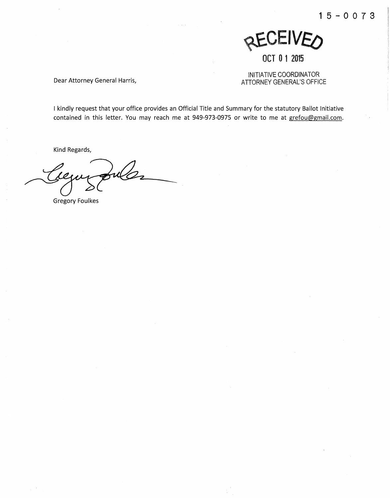

## **OCT 0 1 2015**

INITIATIVE COORDINATOR Dear Attorney General Harris, The Matter of the ATTORNEY GENERAL'S OFFICE

I kindly request that your office provides an Official Title and Summary for the statutory Ballot Initiative contained in this letter. You may reach me at 949-973-0975 or write to me at grefou@gmail.com.

Kind Regards,

Gregory Foulkes